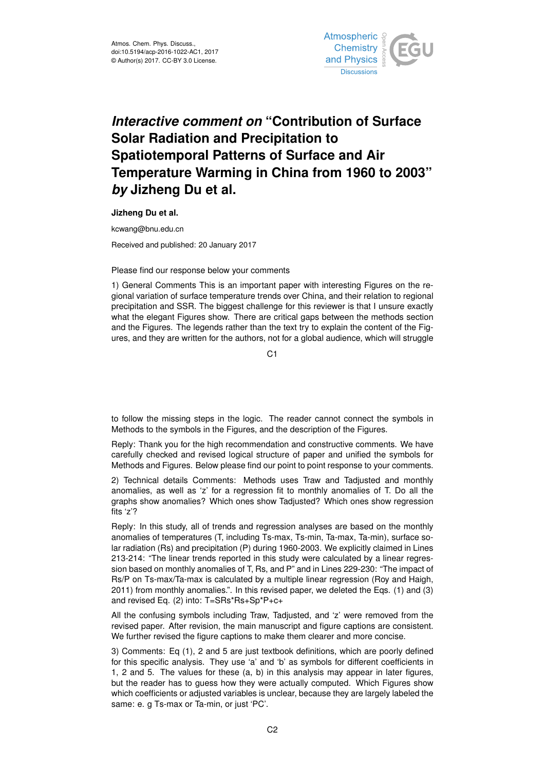

## *Interactive comment on* **"Contribution of Surface Solar Radiation and Precipitation to Spatiotemporal Patterns of Surface and Air Temperature Warming in China from 1960 to 2003"** *by* **Jizheng Du et al.**

**Jizheng Du et al.**

kcwang@bnu.edu.cn

Received and published: 20 January 2017

## Please find our response below your comments

1) General Comments This is an important paper with interesting Figures on the regional variation of surface temperature trends over China, and their relation to regional precipitation and SSR. The biggest challenge for this reviewer is that I unsure exactly what the elegant Figures show. There are critical gaps between the methods section and the Figures. The legends rather than the text try to explain the content of the Figures, and they are written for the authors, not for a global audience, which will struggle

C<sub>1</sub>

to follow the missing steps in the logic. The reader cannot connect the symbols in Methods to the symbols in the Figures, and the description of the Figures.

Reply: Thank you for the high recommendation and constructive comments. We have carefully checked and revised logical structure of paper and unified the symbols for Methods and Figures. Below please find our point to point response to your comments.

2) Technical details Comments: Methods uses Traw and Tadjusted and monthly anomalies, as well as 'z' for a regression fit to monthly anomalies of T. Do all the graphs show anomalies? Which ones show Tadjusted? Which ones show regression fits 'z'?

Reply: In this study, all of trends and regression analyses are based on the monthly anomalies of temperatures (T, including Ts-max, Ts-min, Ta-max, Ta-min), surface solar radiation (Rs) and precipitation (P) during 1960-2003. We explicitly claimed in Lines 213-214: "The linear trends reported in this study were calculated by a linear regression based on monthly anomalies of T, Rs, and P" and in Lines 229-230: "The impact of Rs/P on Ts-max/Ta-max is calculated by a multiple linear regression (Roy and Haigh, 2011) from monthly anomalies.". In this revised paper, we deleted the Eqs. (1) and (3) and revised Eq. (2) into: T=SRs\*Rs+Sp\*P+c+

All the confusing symbols including Traw, Tadjusted, and 'z' were removed from the revised paper. After revision, the main manuscript and figure captions are consistent. We further revised the figure captions to make them clearer and more concise.

3) Comments: Eq (1), 2 and 5 are just textbook definitions, which are poorly defined for this specific analysis. They use 'a' and 'b' as symbols for different coefficients in 1, 2 and 5. The values for these (a, b) in this analysis may appear in later figures, but the reader has to guess how they were actually computed. Which Figures show which coefficients or adjusted variables is unclear, because they are largely labeled the same: e. g Ts-max or Ta-min, or just 'PC'.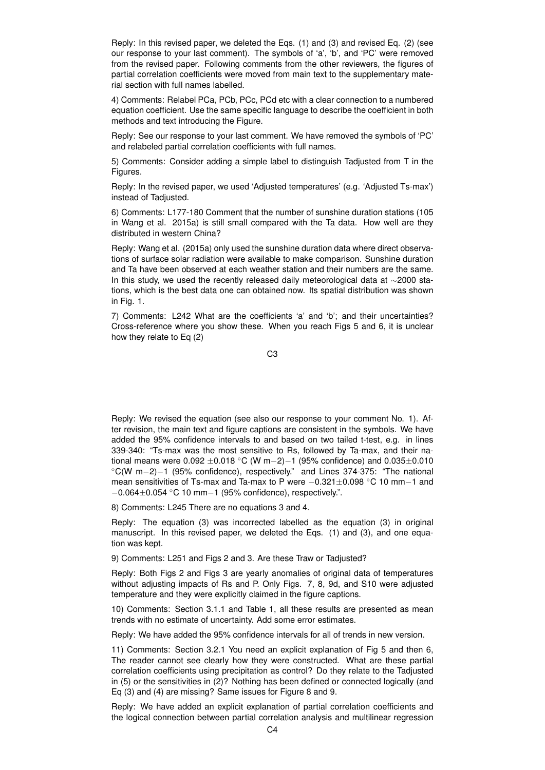Reply: In this revised paper, we deleted the Eqs. (1) and (3) and revised Eq. (2) (see our response to your last comment). The symbols of 'a', 'b', and 'PC' were removed from the revised paper. Following comments from the other reviewers, the figures of partial correlation coefficients were moved from main text to the supplementary material section with full names labelled.

4) Comments: Relabel PCa, PCb, PCc, PCd etc with a clear connection to a numbered equation coefficient. Use the same specific language to describe the coefficient in both methods and text introducing the Figure.

Reply: See our response to your last comment. We have removed the symbols of 'PC' and relabeled partial correlation coefficients with full names.

5) Comments: Consider adding a simple label to distinguish Tadjusted from T in the Figures.

Reply: In the revised paper, we used 'Adjusted temperatures' (e.g. 'Adjusted Ts-max') instead of Tadjusted.

6) Comments: L177-180 Comment that the number of sunshine duration stations (105 in Wang et al. 2015a) is still small compared with the Ta data. How well are they distributed in western China?

Reply: Wang et al. (2015a) only used the sunshine duration data where direct observations of surface solar radiation were available to make comparison. Sunshine duration and Ta have been observed at each weather station and their numbers are the same. In this study, we used the recently released daily meteorological data at ∼2000 stations, which is the best data one can obtained now. Its spatial distribution was shown in Fig. 1.

7) Comments: L242 What are the coefficients 'a' and 'b'; and their uncertainties? Cross-reference where you show these. When you reach Figs 5 and 6, it is unclear how they relate to Eq (2)

C3

Reply: We revised the equation (see also our response to your comment No. 1). After revision, the main text and figure captions are consistent in the symbols. We have added the 95% confidence intervals to and based on two tailed t-test, e.g. in lines 339-340: "Ts-max was the most sensitive to Rs, followed by Ta-max, and their national means were  $0.092 \pm 0.018$  °C (W m−2)−1 (95% confidence) and  $0.035 \pm 0.010$ ◦C(W m−2)−1 (95% confidence), respectively." and Lines 374-375: "The national mean sensitivities of Ts-max and Ta-max to P were −0.321±0.098 ◦C 10 mm−1 and  $-0.064\pm0.054$  °C 10 mm $-1$  (95% confidence), respectively.".

8) Comments: L245 There are no equations 3 and 4.

Reply: The equation (3) was incorrected labelled as the equation (3) in original manuscript. In this revised paper, we deleted the Eqs. (1) and (3), and one equation was kept.

9) Comments: L251 and Figs 2 and 3. Are these Traw or Tadjusted?

Reply: Both Figs 2 and Figs 3 are yearly anomalies of original data of temperatures without adjusting impacts of Rs and P. Only Figs. 7, 8, 9d, and S10 were adjusted temperature and they were explicitly claimed in the figure captions.

10) Comments: Section 3.1.1 and Table 1, all these results are presented as mean trends with no estimate of uncertainty. Add some error estimates.

Reply: We have added the 95% confidence intervals for all of trends in new version.

11) Comments: Section 3.2.1 You need an explicit explanation of Fig 5 and then 6, The reader cannot see clearly how they were constructed. What are these partial correlation coefficients using precipitation as control? Do they relate to the Tadjusted in (5) or the sensitivities in (2)? Nothing has been defined or connected logically (and Eq (3) and (4) are missing? Same issues for Figure 8 and 9.

Reply: We have added an explicit explanation of partial correlation coefficients and the logical connection between partial correlation analysis and multilinear regression